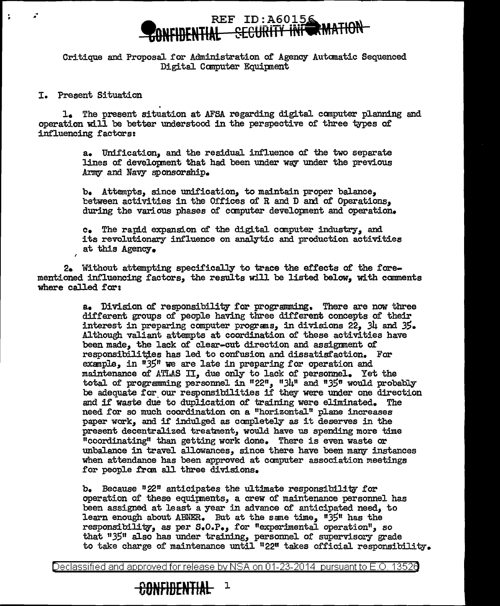## REF ID: A60156 **the SECURITY IN**

Critique and Proposal for Administration of Agency Automatic Sequenced Digital Computer Equipment

I. Present Situation<br>1. The present situation at AFSA regarding digital computer planning and operation will be better understood in the perspective of three types of influencing £actors:

> a. Unification, and the residuaJ. influence of the two separate lines of developnent that had been under way under the previous Army and Navy sponsorship.

b. Attempts, since unification, to maintain proper balance, between activities in the Offices of R and D and of Operations. during the various phases of canputer developnent and operation.

c. The rapi.d expansion of' the digital canputer industry, and its revolutionary influence on analytic and production activities at this Agency.

2. Without attempting specifically to trace the effects of the forementioned influencing factors, the results will be listed below, with comments where called for:

> a. Division of responsibility for programming. There are now three different groups of people having three different concepts of their interest in preparing computer programs, in divisions 22, 34 and 35. Although valiant attempts at coordination of these activities have been made, the lack of clear-cut direction and assignment of responsibilities has led to confusion and dissatisfaction. For example, in "35" we are late in preparing for operation and maintenance of ATLAS II, due only to lack of personnel. Yet the total of programming personnel in  $12^{11}$ ,  $134^{11}$  and  $1135^{11}$  would probably be adequate for our responsibilities if they were under one direction and i£ waste due to duplication or training were eliminated. The need for so much coordination on a "horizontal" plane increases paper work, and if' indulged as canpletely as it deserves in the present decentra1ized treatment, would have us spending more time <sup>11</sup> coordinating11 than gettine work done. There is even waste or unbalance in travel allowances, since there have been many instances when attendance has been approved at computer association meetings for people from all three divisions.

b. Because  $122$ <sup>11</sup> anticipates the ultimate responsibility for operation or these equipnents, a crew of maintenance personnel has been assigned at least a year in advance of anticipated need, to learn enough about ABNER. But at the same time, "35" has the responsibility, as per s.o.P., for "experimental. operation", so that "35" also has under training, personnel of supervisory grade to take charge of maintenance until  $"22"$  takes official responsibility.

Declassified and approved for release by NSA on 01-23-2014 pursuantto E.O. 1352a

## **00NFIBENTIAL** <sup>1</sup>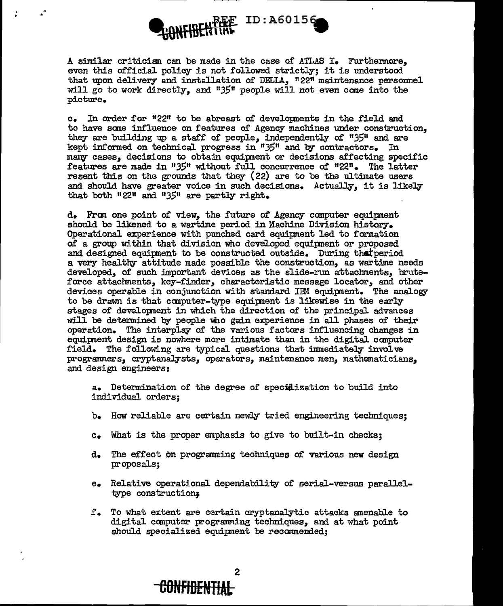## $\bigoplus_{i\in\mathbb{N}}\mathcal{W}$ FHJEN TIME ID:A60156

A similar criticism can be made in the case of ATLAS I. Furthermore, even this official policy is not followed strictly; it is understood that upon delivery and installation of DELLA, "22" maintenance personnel will go to work directly, and *<sup>11</sup> 3511* people will not even come into the p:i.cture.

c. In order for "22" to be abreast of developments in the field and to have same influence on features of Agency machines under construction, they are building up a staff of people, independently of *"3511* and are kept informed on technical progress in "35" and by contractors. In many cases, decisions to obtain equipment or decisions affecting specific features are made in "35" without full concurrence of "22". The latter resent this on the grounds that they  $(22)$  are to be the ultimate users and should have greater voice in such decisions. Actually, it is likely that both  $"22"$  and  $"35"$  are partly right.

d. Fran one point of view, the future o£ Agency computer equipment should be likened to a wartime period in Machine Division history. Operational experience with punched card equipment led to formation of a group within that division who developed equipment or proposed and designed equipment to be constructed outside. During that period a very healthy attitude made possible the construction, as wartime needs developed, of such important devices as the slide-run attachments, bruteforce attachments, key-finder, characteristic message locator, and other devices operable in conjunction with standard IIM equipnent. The ana1ogyto be drawn is that computer-type equipment is likewise in the early stages of development in which the direction of the principal advances will be determined by people Who gain experience in a11 phases of their operation. The interplay of the various factors influencing changes in equipnent design is nowhere more intimate than in the digital canputer field. The following are typical questions that immediately involve programmers, cryptanalysts, operators, maintenance men, mathematicians, and design engineers:

a. Determination of the degree of specilization to build into individua1 orders;

- b. How reliable are certain newly tried engineering techniques;
- c. What is the proper emphasis to give to built-in checks;
- d. The effect on programming techniques of various new design proposals;
- e. Relative operational dependability of serial-versus paralleltype construction;
- f. To what extent are certain cryptana~ic attacks amenable to digital computer programming techniques, and at what point should specialized equipment be recommended;

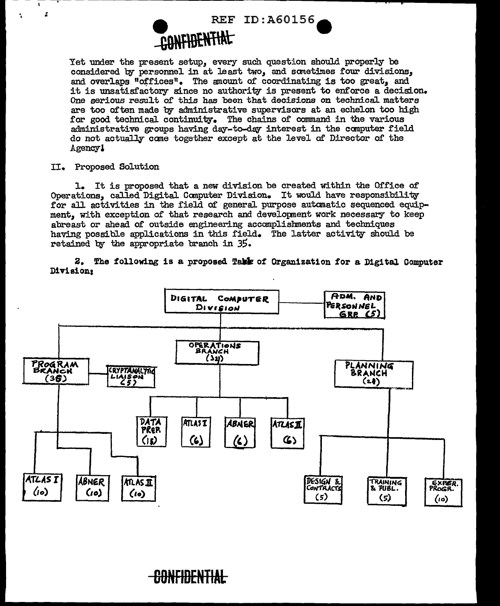

Yet under the present setup, every such question should properly be considered by personnel in at least two, and sometimes four divisions, and overlaps "offices". The amount of coordinating is too great, and it is unsatisfactory since no authority is present to enforce a decision. One serious result of this has been that decisions on technical matters are too often made by administrative supervisors at an echelon too high for good technical continuity. The chains of command in the various administrative groups having day-to-day interest in the computer field do not actually come together except at the level of Director of the Agency1

II. Proposed Solution

Ã

1. It is proposed that a new division be created within the Office of Operations, called Digital Computer Division. It would have responsibility for all activities in the field of general purpose automatic sequenced equipment, with exception of that research and development work necessary to keep abreast or ahead of outside engineering accomplishments and techniques having possible applications in this field. The latter activity should be retained by the appropriate branch in 35.

2. The following is a proposed Table of Organization for a Digital Computer Division;



<del>-CONFIDENTIAL</del>